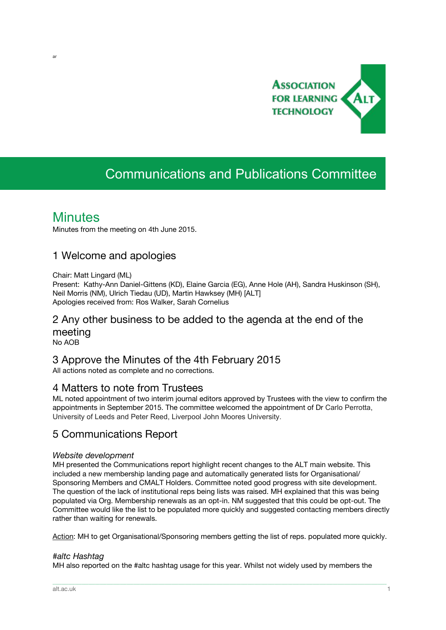

# Communications and Publications Committee

## **Minutes**

ar

Minutes from the meeting on 4th June 2015.

### 1 Welcome and apologies

Chair: Matt Lingard (ML)

Present: Kathy-Ann Daniel-Gittens (KD), Elaine Garcia (EG), Anne Hole (AH), Sandra Huskinson (SH), Neil Morris (NM), Ulrich Tiedau (UD), Martin Hawksey (MH) [ALT] Apologies received from: Ros Walker, Sarah Cornelius

### 2 Any other business to be added to the agenda at the end of the meeting

No AOB

### 3 Approve the Minutes of the 4th February 2015

All actions noted as complete and no corrections.

### 4 Matters to note from Trustees

ML noted appointment of two interim journal editors approved by Trustees with the view to confirm the appointments in September 2015. The committee welcomed the appointment of Dr Carlo Perrotta, University of Leeds and Peter Reed, Liverpool John Moores University.

### 5 Communications Report

#### *Website development*

MH presented the Communications report highlight recent changes to the ALT main website. This included a new membership landing page and automatically generated lists for Organisational/ Sponsoring Members and CMALT Holders. Committee noted good progress with site development. The question of the lack of institutional reps being lists was raised. MH explained that this was being populated via Org. Membership renewals as an opt-in. NM suggested that this could be opt-out. The Committee would like the list to be populated more quickly and suggested contacting members directly rather than waiting for renewals.

Action: MH to get Organisational/Sponsoring members getting the list of reps. populated more quickly.

\_\_\_\_\_\_\_\_\_\_\_\_\_\_\_\_\_\_\_\_\_\_\_\_\_\_\_\_\_\_\_\_\_\_\_\_\_\_\_\_\_\_\_\_\_\_\_\_\_\_\_\_\_\_\_\_\_\_\_\_\_\_\_\_\_\_\_\_\_\_\_\_\_\_\_\_\_\_\_\_\_\_\_\_\_\_\_\_\_\_\_\_\_\_\_\_\_\_\_\_\_\_\_\_\_\_\_\_\_\_\_\_\_\_\_\_\_\_\_\_\_\_\_\_\_\_\_\_\_\_\_\_\_\_\_\_\_\_\_\_\_\_\_\_\_\_\_\_\_

#### *#altc Hashtag*

MH also reported on the #altc hashtag usage for this year. Whilst not widely used by members the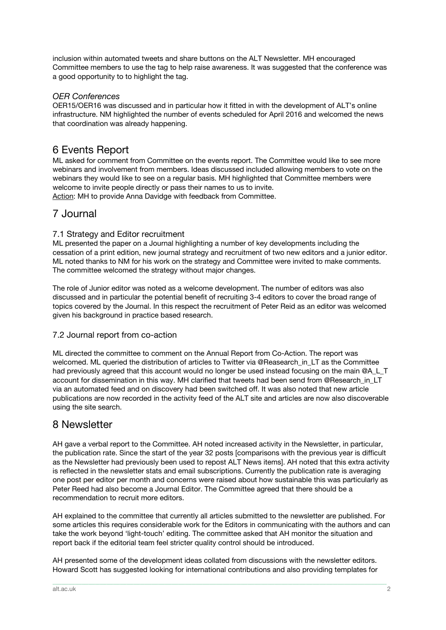inclusion within automated tweets and share buttons on the ALT Newsletter. MH encouraged Committee members to use the tag to help raise awareness. It was suggested that the conference was a good opportunity to to highlight the tag.

#### *OER Conferences*

OER15/OER16 was discussed and in particular how it fitted in with the development of ALT's online infrastructure. NM highlighted the number of events scheduled for April 2016 and welcomed the news that coordination was already happening.

### 6 Events Report

ML asked for comment from Committee on the events report. The Committee would like to see more webinars and involvement from members. Ideas discussed included allowing members to vote on the webinars they would like to see on a regular basis. MH highlighted that Committee members were welcome to invite people directly or pass their names to us to invite.

Action: MH to provide Anna Davidge with feedback from Committee.

### 7 Journal

#### 7.1 Strategy and Editor recruitment

ML presented the paper on a Journal highlighting a number of key developments including the cessation of a print edition, new journal strategy and recruitment of two new editors and a junior editor. ML noted thanks to NM for his work on the strategy and Committee were invited to make comments. The committee welcomed the strategy without major changes.

The role of Junior editor was noted as a welcome development. The number of editors was also discussed and in particular the potential benefit of recruiting 3-4 editors to cover the broad range of topics covered by the Journal. In this respect the recruitment of Peter Reid as an editor was welcomed given his background in practice based research.

#### 7.2 Journal report from co-action

ML directed the committee to comment on the Annual Report from Co-Action. The report was welcomed. ML queried the distribution of articles to Twitter via @Reasearch\_in\_LT as the Committee had previously agreed that this account would no longer be used instead focusing on the main @A\_L\_T account for dissemination in this way. MH clarified that tweets had been send from @Research\_in\_LT via an automated feed and on discovery had been switched off. It was also noted that new article publications are now recorded in the activity feed of the ALT site and articles are now also discoverable using the site search.

### 8 Newsletter

AH gave a verbal report to the Committee. AH noted increased activity in the Newsletter, in particular, the publication rate. Since the start of the year 32 posts [comparisons with the previous year is difficult as the Newsletter had previously been used to repost ALT News items]. AH noted that this extra activity is reflected in the newsletter stats and email subscriptions. Currently the publication rate is averaging one post per editor per month and concerns were raised about how sustainable this was particularly as Peter Reed had also become a Journal Editor. The Committee agreed that there should be a recommendation to recruit more editors.

AH explained to the committee that currently all articles submitted to the newsletter are published. For some articles this requires considerable work for the Editors in communicating with the authors and can take the work beyond 'light-touch' editing. The committee asked that AH monitor the situation and report back if the editorial team feel stricter quality control should be introduced.

AH presented some of the development ideas collated from discussions with the newsletter editors. Howard Scott has suggested looking for international contributions and also providing templates for

\_\_\_\_\_\_\_\_\_\_\_\_\_\_\_\_\_\_\_\_\_\_\_\_\_\_\_\_\_\_\_\_\_\_\_\_\_\_\_\_\_\_\_\_\_\_\_\_\_\_\_\_\_\_\_\_\_\_\_\_\_\_\_\_\_\_\_\_\_\_\_\_\_\_\_\_\_\_\_\_\_\_\_\_\_\_\_\_\_\_\_\_\_\_\_\_\_\_\_\_\_\_\_\_\_\_\_\_\_\_\_\_\_\_\_\_\_\_\_\_\_\_\_\_\_\_\_\_\_\_\_\_\_\_\_\_\_\_\_\_\_\_\_\_\_\_\_\_\_